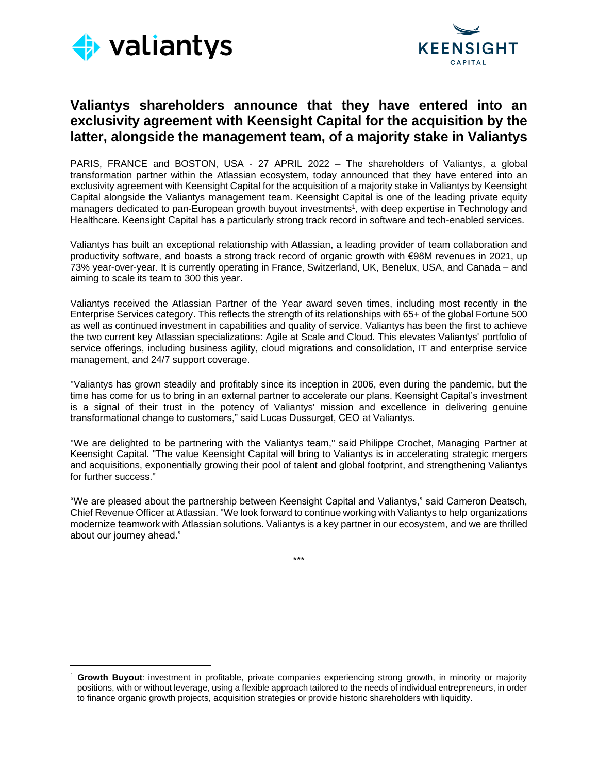



# **Valiantys shareholders announce that they have entered into an exclusivity agreement with Keensight Capital for the acquisition by the latter, alongside the management team, of a majority stake in Valiantys**

PARIS, FRANCE and BOSTON, USA - 27 APRIL 2022 – The shareholders of Valiantys, a global transformation partner within the Atlassian ecosystem, today announced that they have entered into an exclusivity agreement with Keensight Capital for the acquisition of a majority stake in Valiantys by Keensight Capital alongside the Valiantys management team. Keensight Capital is one of the leading private equity managers dedicated to pan-European growth buyout investments<sup>1</sup>, with deep expertise in Technology and Healthcare. Keensight Capital has a particularly strong track record in software and tech-enabled services.

Valiantys has built an exceptional relationship with Atlassian, a leading provider of team collaboration and productivity software, and boasts a strong track record of organic growth with €98M revenues in 2021, up 73% year-over-year. It is currently operating in France, Switzerland, UK, Benelux, USA, and Canada – and aiming to scale its team to 300 this year.

Valiantys received the Atlassian Partner of the Year award seven times, including most recently in the Enterprise Services category. This reflects the strength of its relationships with 65+ of the global Fortune 500 as well as continued investment in capabilities and quality of service. Valiantys has been the first to achieve the two current key Atlassian specializations: Agile at Scale and Cloud. This elevates Valiantys' portfolio of service offerings, including business agility, cloud migrations and consolidation, IT and enterprise service management, and 24/7 support coverage.

"Valiantys has grown steadily and profitably since its inception in 2006, even during the pandemic, but the time has come for us to bring in an external partner to accelerate our plans. Keensight Capital's investment is a signal of their trust in the potency of Valiantys' mission and excellence in delivering genuine transformational change to customers," said Lucas Dussurget, CEO at Valiantys.

"We are delighted to be partnering with the Valiantys team," said Philippe Crochet, Managing Partner at Keensight Capital. "The value Keensight Capital will bring to Valiantys is in accelerating strategic mergers and acquisitions, exponentially growing their pool of talent and global footprint, and strengthening Valiantys for further success."

"We are pleased about the partnership between Keensight Capital and Valiantys," said Cameron Deatsch, Chief Revenue Officer at Atlassian. "We look forward to continue working with Valiantys to help organizations modernize teamwork with Atlassian solutions. Valiantys is a key partner in our ecosystem, and we are thrilled about our journey ahead."

\*\*\*

Growth Buyout: investment in profitable, private companies experiencing strong growth, in minority or majority positions, with or without leverage, using a flexible approach tailored to the needs of individual entrepreneurs, in order to finance organic growth projects, acquisition strategies or provide historic shareholders with liquidity.